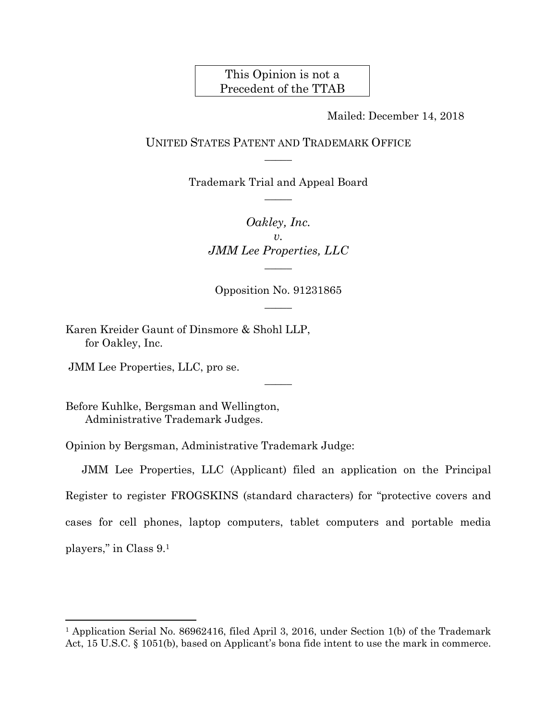## This Opinion is not a Precedent of the TTAB

Mailed: December 14, 2018

## UNITED STATES PATENT AND TRADEMARK OFFICE  $\overline{\phantom{a}}$

Trademark Trial and Appeal Board  $\overline{\phantom{a}}$ 

> *Oakley, Inc. v. JMM Lee Properties, LLC*   $\overline{\phantom{a}}$

Opposition No. 91231865  $\overline{\phantom{a}}$ 

 $\overline{\phantom{a}}$ 

Karen Kreider Gaunt of Dinsmore & Shohl LLP, for Oakley, Inc.

JMM Lee Properties, LLC, pro se.

 $\overline{a}$ 

Before Kuhlke, Bergsman and Wellington, Administrative Trademark Judges.

Opinion by Bergsman, Administrative Trademark Judge:

JMM Lee Properties, LLC (Applicant) filed an application on the Principal Register to register FROGSKINS (standard characters) for "protective covers and cases for cell phones, laptop computers, tablet computers and portable media players," in Class 9.1

<sup>1</sup> Application Serial No. 86962416, filed April 3, 2016, under Section 1(b) of the Trademark Act, 15 U.S.C. § 1051(b), based on Applicant's bona fide intent to use the mark in commerce.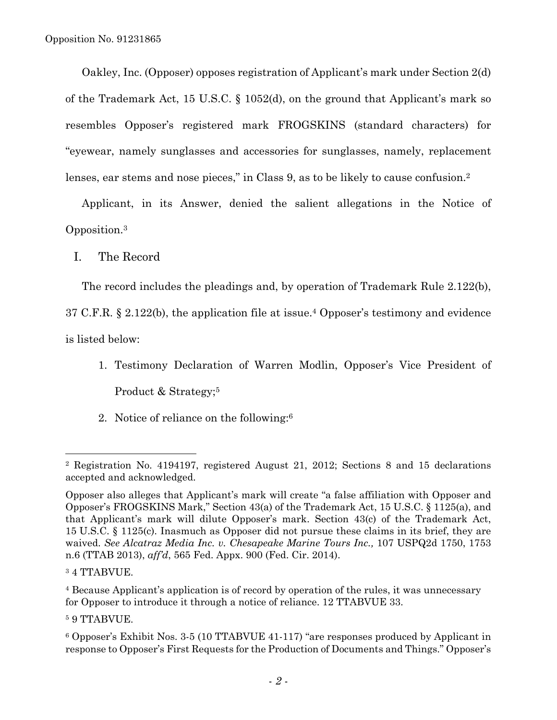Oakley, Inc. (Opposer) opposes registration of Applicant's mark under Section 2(d) of the Trademark Act, 15 U.S.C. § 1052(d), on the ground that Applicant's mark so resembles Opposer's registered mark FROGSKINS (standard characters) for "eyewear, namely sunglasses and accessories for sunglasses, namely, replacement lenses, ear stems and nose pieces," in Class 9, as to be likely to cause confusion.<sup>2</sup>

Applicant, in its Answer, denied the salient allegations in the Notice of Opposition.3

I. The Record

The record includes the pleadings and, by operation of Trademark Rule 2.122(b),

37 C.F.R. § 2.122(b), the application file at issue.4 Opposer's testimony and evidence

is listed below:

- 1. Testimony Declaration of Warren Modlin, Opposer's Vice President of Product & Strategy;<sup>5</sup>
- 2. Notice of reliance on the following:6

 $\overline{a}$ 

4 Because Applicant's application is of record by operation of the rules, it was unnecessary for Opposer to introduce it through a notice of reliance. 12 TTABVUE 33.

5 9 TTABVUE.

<sup>2</sup> Registration No. 4194197, registered August 21, 2012; Sections 8 and 15 declarations accepted and acknowledged.

Opposer also alleges that Applicant's mark will create "a false affiliation with Opposer and Opposer's FROGSKINS Mark," Section 43(a) of the Trademark Act, 15 U.S.C. § 1125(a), and that Applicant's mark will dilute Opposer's mark. Section 43(c) of the Trademark Act, 15 U.S.C. § 1125(c). Inasmuch as Opposer did not pursue these claims in its brief, they are waived. *See Alcatraz Media Inc. v. Chesapeake Marine Tours Inc.,* 107 USPQ2d 1750, 1753 n.6 (TTAB 2013), *aff'd*, 565 Fed. Appx. 900 (Fed. Cir. 2014).

<sup>3 4</sup> TTABVUE.

<sup>6</sup> Opposer's Exhibit Nos. 3-5 (10 TTABVUE 41-117) "are responses produced by Applicant in response to Opposer's First Requests for the Production of Documents and Things." Opposer's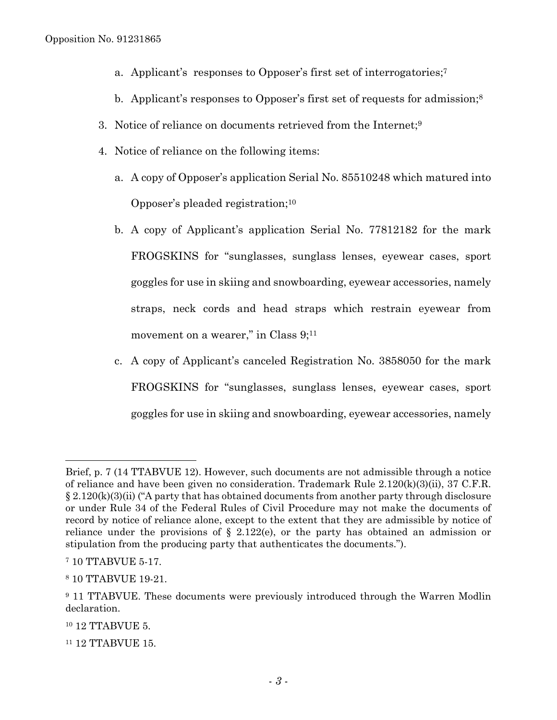- a. Applicant's responses to Opposer's first set of interrogatories;7
- b. Applicant's responses to Opposer's first set of requests for admission;<sup>8</sup>
- 3. Notice of reliance on documents retrieved from the Internet;9
- 4. Notice of reliance on the following items:
	- a. A copy of Opposer's application Serial No. 85510248 which matured into Opposer's pleaded registration;10
	- b. A copy of Applicant's application Serial No. 77812182 for the mark FROGSKINS for "sunglasses, sunglass lenses, eyewear cases, sport goggles for use in skiing and snowboarding, eyewear accessories, namely straps, neck cords and head straps which restrain eyewear from movement on a wearer," in Class 9;<sup>11</sup>
	- c. A copy of Applicant's canceled Registration No. 3858050 for the mark FROGSKINS for "sunglasses, sunglass lenses, eyewear cases, sport goggles for use in skiing and snowboarding, eyewear accessories, namely

 $\overline{a}$ 

11 12 TTABVUE 15.

Brief, p. 7 (14 TTABVUE 12). However, such documents are not admissible through a notice of reliance and have been given no consideration. Trademark Rule  $2.120(k)(3)(ii)$ , 37 C.F.R.  $\S 2.120(k)(3)(ii)$  ("A party that has obtained documents from another party through disclosure or under Rule 34 of the Federal Rules of Civil Procedure may not make the documents of record by notice of reliance alone, except to the extent that they are admissible by notice of reliance under the provisions of  $\S$  2.122(e), or the party has obtained an admission or stipulation from the producing party that authenticates the documents.").

<sup>7 10</sup> TTABVUE 5-17.

<sup>8 10</sup> TTABVUE 19-21.

<sup>&</sup>lt;sup>9</sup> 11 TTABVUE. These documents were previously introduced through the Warren Modlin declaration.

<sup>&</sup>lt;sup>10</sup> 12 TTABVUE 5.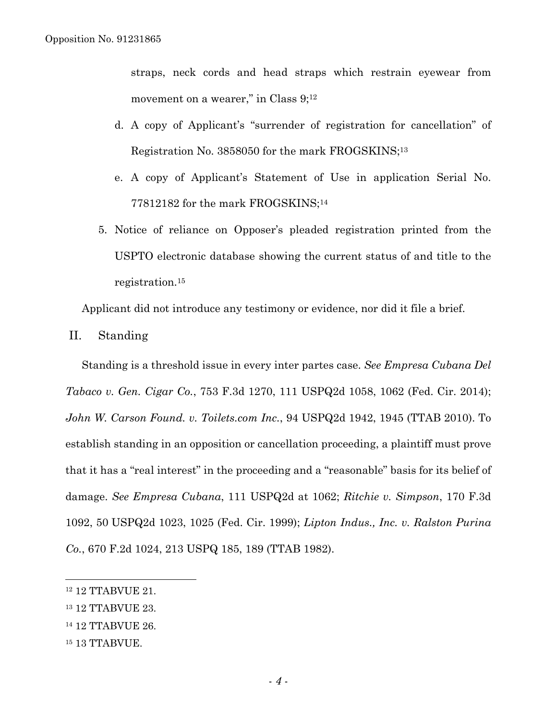straps, neck cords and head straps which restrain eyewear from movement on a wearer," in Class  $9;^{12}$ 

- d. A copy of Applicant's "surrender of registration for cancellation" of Registration No. 3858050 for the mark FROGSKINS;13
- e. A copy of Applicant's Statement of Use in application Serial No. 77812182 for the mark FROGSKINS;14
- 5. Notice of reliance on Opposer's pleaded registration printed from the USPTO electronic database showing the current status of and title to the registration.15

Applicant did not introduce any testimony or evidence, nor did it file a brief.

II. Standing

Standing is a threshold issue in every inter partes case. *See Empresa Cubana Del Tabaco v. Gen. Cigar Co.*, 753 F.3d 1270, 111 USPQ2d 1058, 1062 (Fed. Cir. 2014); *John W. Carson Found. v. Toilets.com Inc.*, 94 USPQ2d 1942, 1945 (TTAB 2010). To establish standing in an opposition or cancellation proceeding, a plaintiff must prove that it has a "real interest" in the proceeding and a "reasonable" basis for its belief of damage. *See Empresa Cubana*, 111 USPQ2d at 1062; *Ritchie v. Simpson*, 170 F.3d 1092, 50 USPQ2d 1023, 1025 (Fed. Cir. 1999); *Lipton Indus., Inc. v. Ralston Purina Co.*, 670 F.2d 1024, 213 USPQ 185, 189 (TTAB 1982).

1

15 13 TTABVUE.

<sup>12 12</sup> TTABVUE 21.

<sup>13 12</sup> TTABVUE 23.

<sup>14 12</sup> TTABVUE 26.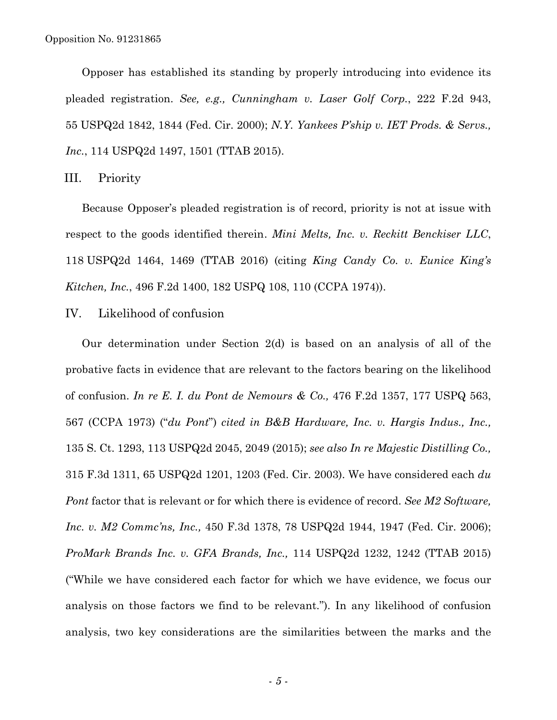Opposer has established its standing by properly introducing into evidence its pleaded registration. *See, e.g., Cunningham v. Laser Golf Corp.*, 222 F.2d 943, 55 USPQ2d 1842, 1844 (Fed. Cir. 2000); *N.Y. Yankees P'ship v. IET Prods. & Servs., Inc.*, 114 USPQ2d 1497, 1501 (TTAB 2015).

III. Priority

Because Opposer's pleaded registration is of record, priority is not at issue with respect to the goods identified therein. *Mini Melts, Inc. v. Reckitt Benckiser LLC*, 118 USPQ2d 1464, 1469 (TTAB 2016) (citing *King Candy Co. v. Eunice King's Kitchen, Inc.*, 496 F.2d 1400, 182 USPQ 108, 110 (CCPA 1974)).

IV. Likelihood of confusion

Our determination under Section 2(d) is based on an analysis of all of the probative facts in evidence that are relevant to the factors bearing on the likelihood of confusion. *In re E. I. du Pont de Nemours & Co.,* 476 F.2d 1357, 177 USPQ 563, 567 (CCPA 1973) ("*du Pont*") *cited in B&B Hardware, Inc. v. Hargis Indus., Inc.,* 135 S. Ct. 1293, 113 USPQ2d 2045, 2049 (2015); *see also In re Majestic Distilling Co.,*  315 F.3d 1311, 65 USPQ2d 1201, 1203 (Fed. Cir. 2003). We have considered each *du Pont* factor that is relevant or for which there is evidence of record. *See M2 Software, Inc. v. M2 Commc'ns, Inc.,* 450 F.3d 1378, 78 USPQ2d 1944, 1947 (Fed. Cir. 2006); *ProMark Brands Inc. v. GFA Brands, Inc.,* 114 USPQ2d 1232, 1242 (TTAB 2015) ("While we have considered each factor for which we have evidence, we focus our analysis on those factors we find to be relevant."). In any likelihood of confusion analysis, two key considerations are the similarities between the marks and the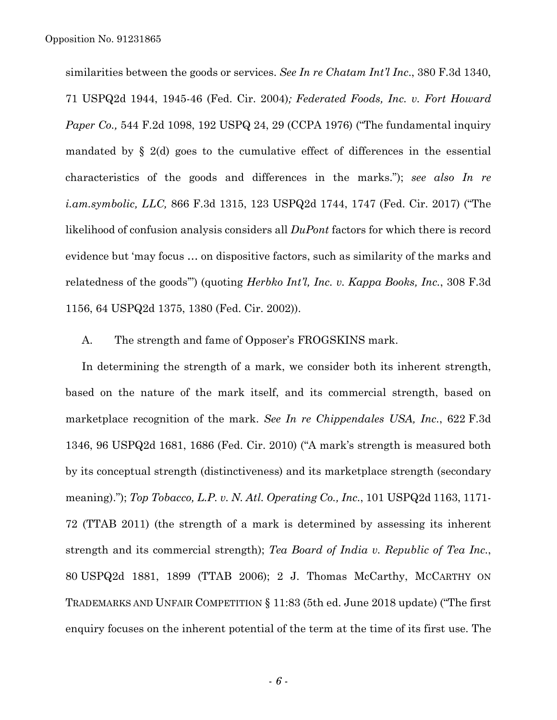similarities between the goods or services. *See In re Chatam Int'l Inc*., 380 F.3d 1340, 71 USPQ2d 1944, 1945-46 (Fed. Cir. 2004)*; Federated Foods, Inc. v. Fort Howard Paper Co.,* 544 F.2d 1098, 192 USPQ 24, 29 (CCPA 1976) ("The fundamental inquiry mandated by § 2(d) goes to the cumulative effect of differences in the essential characteristics of the goods and differences in the marks."); *see also In re i.am.symbolic, LLC,* 866 F.3d 1315, 123 USPQ2d 1744, 1747 (Fed. Cir. 2017) ("The likelihood of confusion analysis considers all *DuPont* factors for which there is record evidence but 'may focus … on dispositive factors, such as similarity of the marks and relatedness of the goods'") (quoting *Herbko Int'l, Inc. v. Kappa Books, Inc.*, 308 F.3d 1156, 64 USPQ2d 1375, 1380 (Fed. Cir. 2002)).

A. The strength and fame of Opposer's FROGSKINS mark.

In determining the strength of a mark, we consider both its inherent strength, based on the nature of the mark itself, and its commercial strength, based on marketplace recognition of the mark. *See In re Chippendales USA, Inc.*, 622 F.3d 1346, 96 USPQ2d 1681, 1686 (Fed. Cir. 2010) ("A mark's strength is measured both by its conceptual strength (distinctiveness) and its marketplace strength (secondary meaning)."); *Top Tobacco, L.P. v. N. Atl. Operating Co., Inc.*, 101 USPQ2d 1163, 1171- 72 (TTAB 2011) (the strength of a mark is determined by assessing its inherent strength and its commercial strength); *Tea Board of India v. Republic of Tea Inc.*, 80 USPQ2d 1881, 1899 (TTAB 2006); 2 J. Thomas McCarthy, MCCARTHY ON TRADEMARKS AND UNFAIR COMPETITION § 11:83 (5th ed. June 2018 update) ("The first enquiry focuses on the inherent potential of the term at the time of its first use. The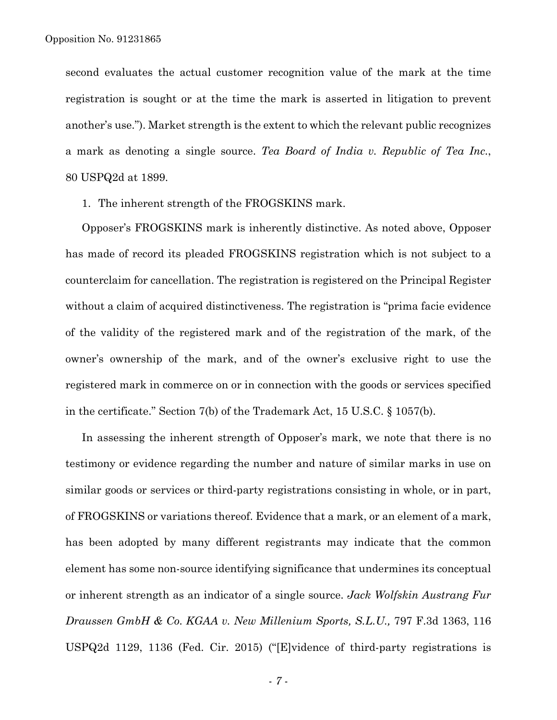second evaluates the actual customer recognition value of the mark at the time registration is sought or at the time the mark is asserted in litigation to prevent another's use."). Market strength is the extent to which the relevant public recognizes a mark as denoting a single source. *Tea Board of India v. Republic of Tea Inc.*, 80 USPQ2d at 1899.

1. The inherent strength of the FROGSKINS mark.

Opposer's FROGSKINS mark is inherently distinctive. As noted above, Opposer has made of record its pleaded FROGSKINS registration which is not subject to a counterclaim for cancellation. The registration is registered on the Principal Register without a claim of acquired distinctiveness. The registration is "prima facie evidence of the validity of the registered mark and of the registration of the mark, of the owner's ownership of the mark, and of the owner's exclusive right to use the registered mark in commerce on or in connection with the goods or services specified in the certificate." Section 7(b) of the Trademark Act, 15 U.S.C. § 1057(b).

In assessing the inherent strength of Opposer's mark, we note that there is no testimony or evidence regarding the number and nature of similar marks in use on similar goods or services or third-party registrations consisting in whole, or in part, of FROGSKINS or variations thereof. Evidence that a mark, or an element of a mark, has been adopted by many different registrants may indicate that the common element has some non-source identifying significance that undermines its conceptual or inherent strength as an indicator of a single source. *Jack Wolfskin Austrang Fur Draussen GmbH & Co. KGAA v. New Millenium Sports, S.L.U.,* 797 F.3d 1363, 116 USPQ2d 1129, 1136 (Fed. Cir. 2015) ("[E]vidence of third-party registrations is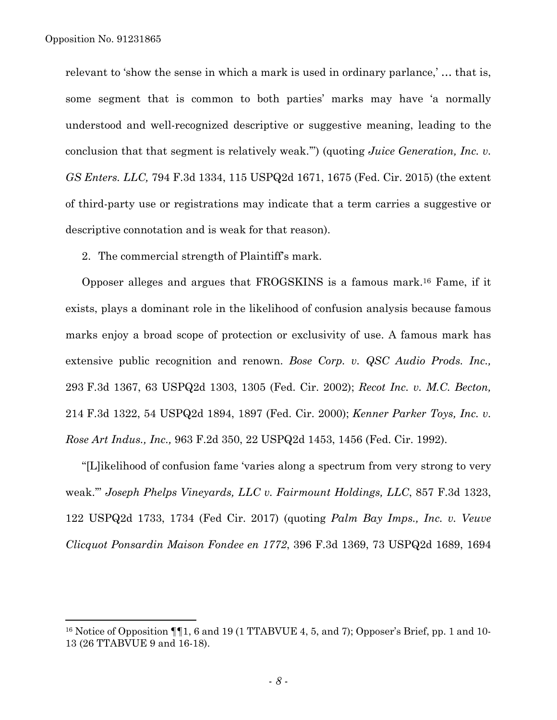1

relevant to 'show the sense in which a mark is used in ordinary parlance,' *…* that is, some segment that is common to both parties' marks may have 'a normally understood and well-recognized descriptive or suggestive meaning, leading to the conclusion that that segment is relatively weak.'") (quoting *Juice Generation, Inc. v. GS Enters. LLC,* 794 F.3d 1334, 115 USPQ2d 1671, 1675 (Fed. Cir. 2015) (the extent of third-party use or registrations may indicate that a term carries a suggestive or descriptive connotation and is weak for that reason).

2. The commercial strength of Plaintiff's mark.

Opposer alleges and argues that FROGSKINS is a famous mark.16 Fame, if it exists, plays a dominant role in the likelihood of confusion analysis because famous marks enjoy a broad scope of protection or exclusivity of use. A famous mark has extensive public recognition and renown. *Bose Corp. v. QSC Audio Prods. Inc.,*  293 F.3d 1367, 63 USPQ2d 1303, 1305 (Fed. Cir. 2002); *Recot Inc. v. M.C. Becton,*  214 F.3d 1322, 54 USPQ2d 1894, 1897 (Fed. Cir. 2000); *Kenner Parker Toys, Inc. v. Rose Art Indus., Inc.,* 963 F.2d 350, 22 USPQ2d 1453, 1456 (Fed. Cir. 1992).

"[L]ikelihood of confusion fame 'varies along a spectrum from very strong to very weak.'" *Joseph Phelps Vineyards, LLC v. Fairmount Holdings, LLC*, 857 F.3d 1323, 122 USPQ2d 1733, 1734 (Fed Cir. 2017) (quoting *Palm Bay Imps., Inc. v. Veuve Clicquot Ponsardin Maison Fondee en 1772*, 396 F.3d 1369, 73 USPQ2d 1689, 1694

<sup>&</sup>lt;sup>16</sup> Notice of Opposition  $\P\P1$ , 6 and 19 (1 TTABVUE 4, 5, and 7); Opposer's Brief, pp. 1 and 10-13 (26 TTABVUE 9 and 16-18).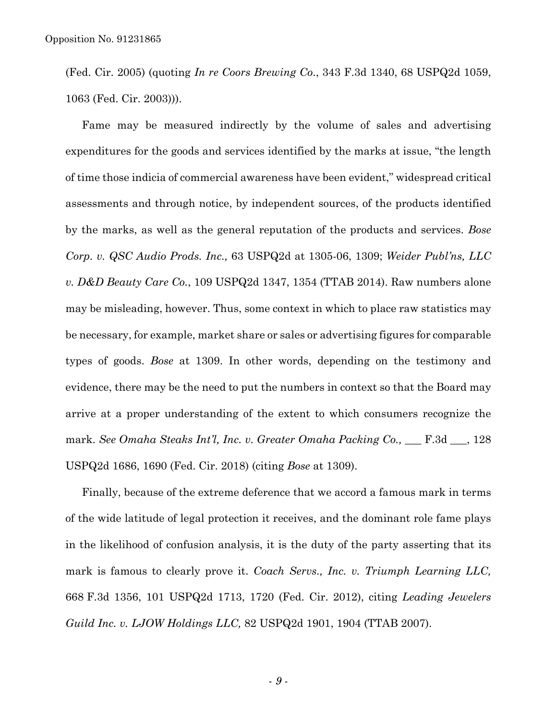(Fed. Cir. 2005) (quoting *In re Coors Brewing Co*., 343 F.3d 1340, 68 USPQ2d 1059, 1063 (Fed. Cir. 2003))).

Fame may be measured indirectly by the volume of sales and advertising expenditures for the goods and services identified by the marks at issue, "the length of time those indicia of commercial awareness have been evident," widespread critical assessments and through notice, by independent sources, of the products identified by the marks, as well as the general reputation of the products and services. *Bose Corp. v. QSC Audio Prods. Inc.,* 63 USPQ2d at 1305-06, 1309; *Weider Publ'ns, LLC v. D&D Beauty Care Co.*, 109 USPQ2d 1347, 1354 (TTAB 2014). Raw numbers alone may be misleading, however. Thus, some context in which to place raw statistics may be necessary, for example, market share or sales or advertising figures for comparable types of goods. *Bose* at 1309. In other words, depending on the testimony and evidence, there may be the need to put the numbers in context so that the Board may arrive at a proper understanding of the extent to which consumers recognize the mark. *See Omaha Steaks Int'l, Inc. v. Greater Omaha Packing Co.*, <u>\_\_\_ F.3d \_\_</u>, 128 USPQ2d 1686, 1690 (Fed. Cir. 2018) (citing *Bose* at 1309).

Finally, because of the extreme deference that we accord a famous mark in terms of the wide latitude of legal protection it receives, and the dominant role fame plays in the likelihood of confusion analysis, it is the duty of the party asserting that its mark is famous to clearly prove it. *Coach Servs., Inc. v. Triumph Learning LLC,*  668 F.3d 1356, 101 USPQ2d 1713, 1720 (Fed. Cir. 2012), citing *Leading Jewelers Guild Inc. v. LJOW Holdings LLC,* 82 USPQ2d 1901, 1904 (TTAB 2007).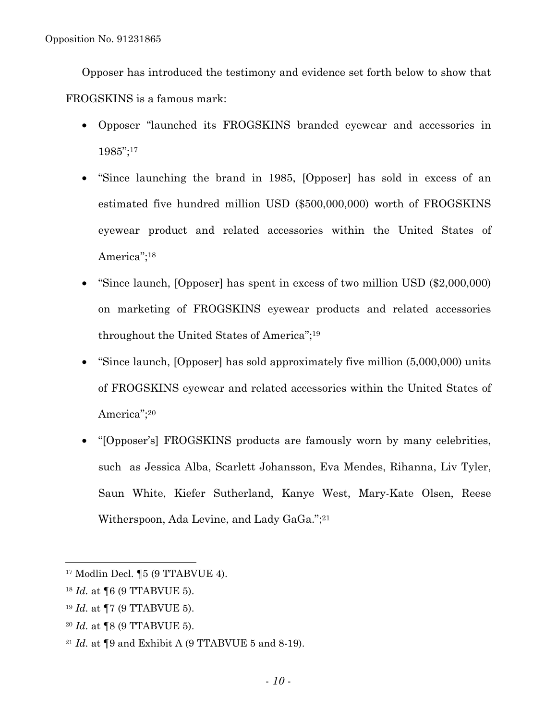Opposer has introduced the testimony and evidence set forth below to show that FROGSKINS is a famous mark:

- Opposer "launched its FROGSKINS branded eyewear and accessories in 1985";17
- "Since launching the brand in 1985, [Opposer] has sold in excess of an estimated five hundred million USD (\$500,000,000) worth of FROGSKINS eyewear product and related accessories within the United States of America";18
- "Since launch, [Opposer] has spent in excess of two million USD (\$2,000,000) on marketing of FROGSKINS eyewear products and related accessories throughout the United States of America";19
- "Since launch, [Opposer] has sold approximately five million (5,000,000) units of FROGSKINS eyewear and related accessories within the United States of America";20
- "[Opposer's] FROGSKINS products are famously worn by many celebrities, such as Jessica Alba, Scarlett Johansson, Eva Mendes, Rihanna, Liv Tyler, Saun White, Kiefer Sutherland, Kanye West, Mary-Kate Olsen, Reese Witherspoon, Ada Levine, and Lady GaGa.";21

- <sup>19</sup> *Id.* at ¶7 (9 TTABVUE 5).
- <sup>20</sup> *Id.* at ¶8 (9 TTABVUE 5).

<sup>17</sup> Modlin Decl. ¶5 (9 TTABVUE 4).

<sup>18</sup> *Id.* at ¶6 (9 TTABVUE 5).

<sup>21</sup> *Id.* at ¶9 and Exhibit A (9 TTABVUE 5 and 8-19).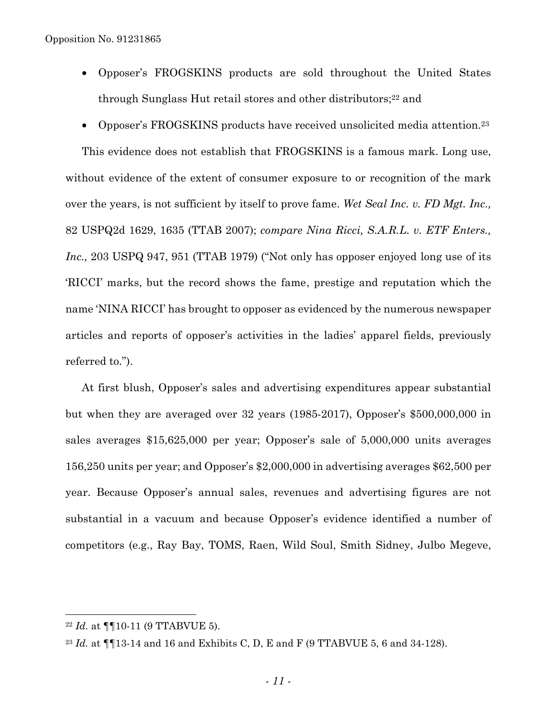- Opposer's FROGSKINS products are sold throughout the United States through Sunglass Hut retail stores and other distributors;<sup>22</sup> and
- Opposer's FROGSKINS products have received unsolicited media attention.<sup>23</sup>

This evidence does not establish that FROGSKINS is a famous mark. Long use, without evidence of the extent of consumer exposure to or recognition of the mark over the years, is not sufficient by itself to prove fame. *Wet Seal Inc. v. FD Mgt. Inc.,*  82 USPQ2d 1629, 1635 (TTAB 2007); *compare Nina Ricci, S.A.R.L. v. ETF Enters., Inc.*, 203 USPQ 947, 951 (TTAB 1979) ("Not only has opposer enjoyed long use of its 'RICCI' marks, but the record shows the fame, prestige and reputation which the name 'NINA RICCI' has brought to opposer as evidenced by the numerous newspaper articles and reports of opposer's activities in the ladies' apparel fields, previously referred to.").

At first blush, Opposer's sales and advertising expenditures appear substantial but when they are averaged over 32 years (1985-2017), Opposer's \$500,000,000 in sales averages \$15,625,000 per year; Opposer's sale of 5,000,000 units averages 156,250 units per year; and Opposer's \$2,000,000 in advertising averages \$62,500 per year. Because Opposer's annual sales, revenues and advertising figures are not substantial in a vacuum and because Opposer's evidence identified a number of competitors (e.g., Ray Bay, TOMS, Raen, Wild Soul, Smith Sidney, Julbo Megeve,

<sup>22</sup> *Id.* at ¶¶10-11 (9 TTABVUE 5).

<sup>&</sup>lt;sup>23</sup> *Id.* at ¶¶13-14 and 16 and Exhibits C, D, E and F (9 TTABVUE 5, 6 and 34-128).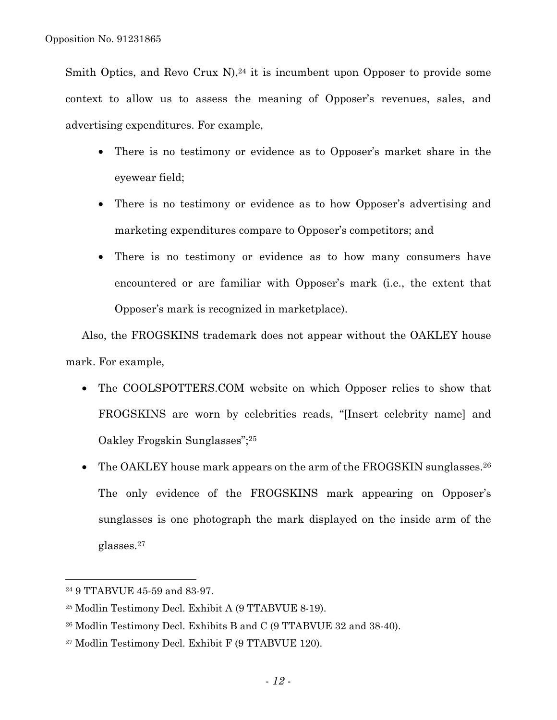Smith Optics, and Revo Crux N),  $24$  it is incumbent upon Opposer to provide some context to allow us to assess the meaning of Opposer's revenues, sales, and advertising expenditures. For example,

- There is no testimony or evidence as to Opposer's market share in the eyewear field;
- There is no testimony or evidence as to how Opposer's advertising and marketing expenditures compare to Opposer's competitors; and
- There is no testimony or evidence as to how many consumers have encountered or are familiar with Opposer's mark (i.e., the extent that Opposer's mark is recognized in marketplace).

Also, the FROGSKINS trademark does not appear without the OAKLEY house mark. For example,

- The COOLSPOTTERS.COM website on which Opposer relies to show that FROGSKINS are worn by celebrities reads, "[Insert celebrity name] and Oakley Frogskin Sunglasses";25
- The OAKLEY house mark appears on the arm of the FROGSKIN sunglasses.<sup>26</sup> The only evidence of the FROGSKINS mark appearing on Opposer's sunglasses is one photograph the mark displayed on the inside arm of the glasses.27

<sup>24 9</sup> TTABVUE 45-59 and 83-97.

<sup>25</sup> Modlin Testimony Decl. Exhibit A (9 TTABVUE 8-19).

<sup>26</sup> Modlin Testimony Decl. Exhibits B and C (9 TTABVUE 32 and 38-40).

<sup>27</sup> Modlin Testimony Decl. Exhibit F (9 TTABVUE 120).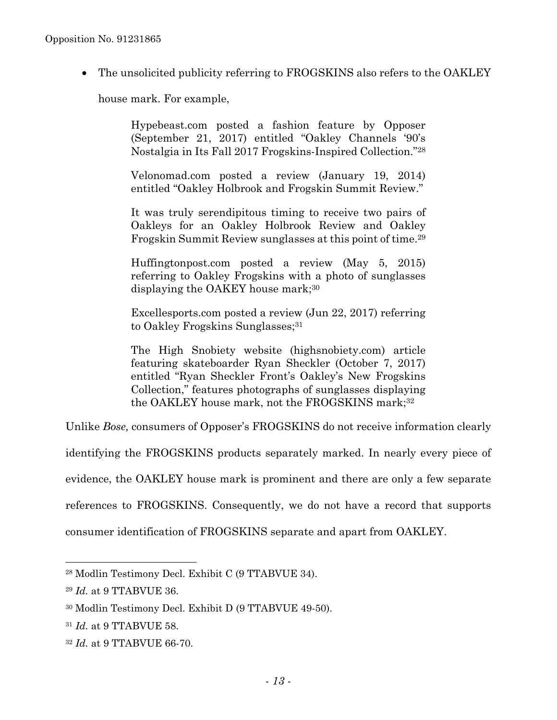• The unsolicited publicity referring to FROGSKINS also refers to the OAKLEY

house mark. For example,

Hypebeast.com posted a fashion feature by Opposer (September 21, 2017) entitled "Oakley Channels '90's Nostalgia in Its Fall 2017 Frogskins-Inspired Collection."28

Velonomad.com posted a review (January 19, 2014) entitled "Oakley Holbrook and Frogskin Summit Review."

It was truly serendipitous timing to receive two pairs of Oakleys for an Oakley Holbrook Review and Oakley Frogskin Summit Review sunglasses at this point of time.29

Huffingtonpost.com posted a review (May 5, 2015) referring to Oakley Frogskins with a photo of sunglasses displaying the OAKEY house mark;30

Excellesports.com posted a review (Jun 22, 2017) referring to Oakley Frogskins Sunglasses;<sup>31</sup>

The High Snobiety website (highsnobiety.com) article featuring skateboarder Ryan Sheckler (October 7, 2017) entitled "Ryan Sheckler Front's Oakley's New Frogskins Collection," features photographs of sunglasses displaying the OAKLEY house mark, not the FROGSKINS mark;<sup>32</sup>

Unlike *Bose,* consumers of Opposer's FROGSKINS do not receive information clearly

identifying the FROGSKINS products separately marked. In nearly every piece of

evidence, the OAKLEY house mark is prominent and there are only a few separate

references to FROGSKINS. Consequently, we do not have a record that supports

consumer identification of FROGSKINS separate and apart from OAKLEY.

<sup>28</sup> Modlin Testimony Decl. Exhibit C (9 TTABVUE 34).

<sup>29</sup> *Id.* at 9 TTABVUE 36.

<sup>30</sup> Modlin Testimony Decl. Exhibit D (9 TTABVUE 49-50).

<sup>31</sup> *Id.* at 9 TTABVUE 58.

<sup>32</sup> *Id.* at 9 TTABVUE 66-70.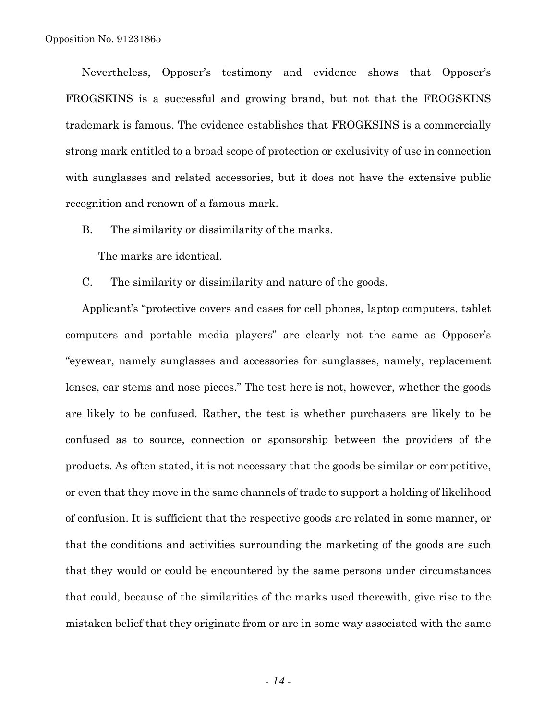Nevertheless, Opposer's testimony and evidence shows that Opposer's FROGSKINS is a successful and growing brand, but not that the FROGSKINS trademark is famous. The evidence establishes that FROGKSINS is a commercially strong mark entitled to a broad scope of protection or exclusivity of use in connection with sunglasses and related accessories, but it does not have the extensive public recognition and renown of a famous mark.

B. The similarity or dissimilarity of the marks.

The marks are identical.

C. The similarity or dissimilarity and nature of the goods.

Applicant's "protective covers and cases for cell phones, laptop computers, tablet computers and portable media players" are clearly not the same as Opposer's "eyewear, namely sunglasses and accessories for sunglasses, namely, replacement lenses, ear stems and nose pieces." The test here is not, however, whether the goods are likely to be confused. Rather, the test is whether purchasers are likely to be confused as to source, connection or sponsorship between the providers of the products. As often stated, it is not necessary that the goods be similar or competitive, or even that they move in the same channels of trade to support a holding of likelihood of confusion. It is sufficient that the respective goods are related in some manner, or that the conditions and activities surrounding the marketing of the goods are such that they would or could be encountered by the same persons under circumstances that could, because of the similarities of the marks used therewith, give rise to the mistaken belief that they originate from or are in some way associated with the same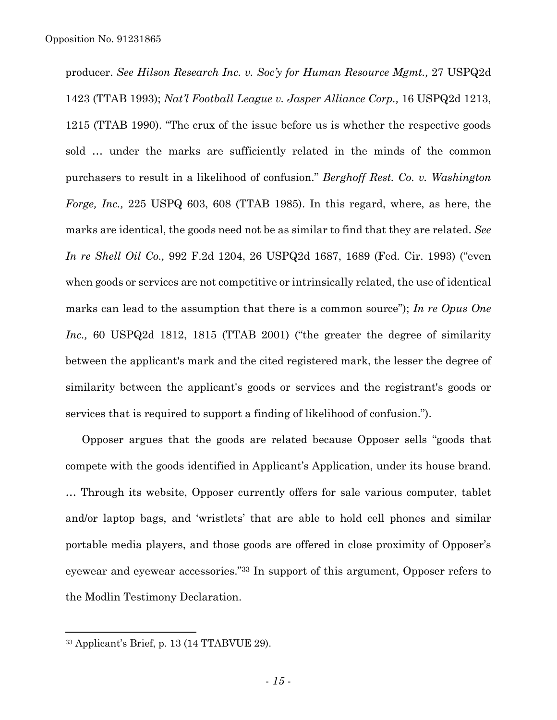producer. *See Hilson Research Inc. v. Soc'y for Human Resource Mgmt.,* 27 USPQ2d 1423 (TTAB 1993); *Nat'l Football League v. Jasper Alliance Corp.,* 16 USPQ2d 1213, 1215 (TTAB 1990). "The crux of the issue before us is whether the respective goods sold … under the marks are sufficiently related in the minds of the common purchasers to result in a likelihood of confusion." *Berghoff Rest. Co. v. Washington Forge, Inc.,* 225 USPQ 603, 608 (TTAB 1985). In this regard, where, as here, the marks are identical, the goods need not be as similar to find that they are related. *See In re Shell Oil Co.,* 992 F.2d 1204, 26 USPQ2d 1687, 1689 (Fed. Cir. 1993) ("even when goods or services are not competitive or intrinsically related, the use of identical marks can lead to the assumption that there is a common source"); *In re Opus One Inc.,* 60 USPQ2d 1812, 1815 (TTAB 2001) ("the greater the degree of similarity between the applicant's mark and the cited registered mark, the lesser the degree of similarity between the applicant's goods or services and the registrant's goods or services that is required to support a finding of likelihood of confusion.").

Opposer argues that the goods are related because Opposer sells "goods that compete with the goods identified in Applicant's Application, under its house brand. … Through its website, Opposer currently offers for sale various computer, tablet and/or laptop bags, and 'wristlets' that are able to hold cell phones and similar portable media players, and those goods are offered in close proximity of Opposer's eyewear and eyewear accessories."33 In support of this argument, Opposer refers to the Modlin Testimony Declaration.

<sup>33</sup> Applicant's Brief, p. 13 (14 TTABVUE 29).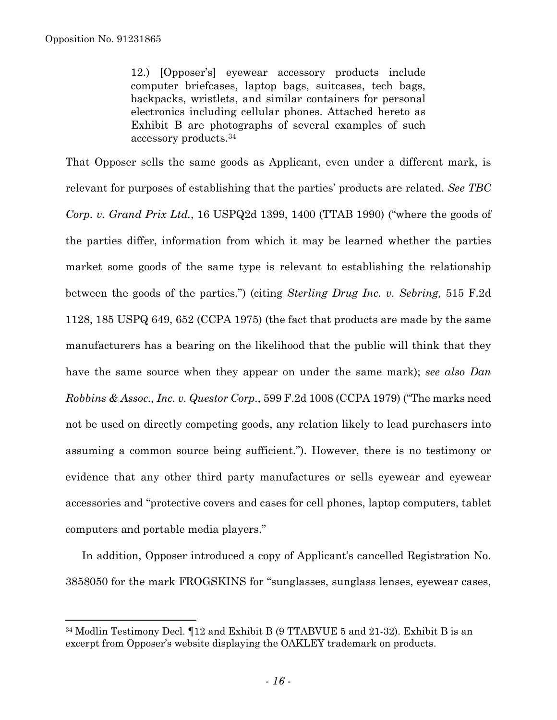$\overline{a}$ 

12.) [Opposer's] eyewear accessory products include computer briefcases, laptop bags, suitcases, tech bags, backpacks, wristlets, and similar containers for personal electronics including cellular phones. Attached hereto as Exhibit B are photographs of several examples of such accessory products.34

That Opposer sells the same goods as Applicant, even under a different mark, is relevant for purposes of establishing that the parties' products are related. *See TBC Corp. v. Grand Prix Ltd.*, 16 USPQ2d 1399, 1400 (TTAB 1990) ("where the goods of the parties differ, information from which it may be learned whether the parties market some goods of the same type is relevant to establishing the relationship between the goods of the parties.") (citing *Sterling Drug Inc. v. Sebring,* 515 F.2d 1128, 185 USPQ 649, 652 (CCPA 1975) (the fact that products are made by the same manufacturers has a bearing on the likelihood that the public will think that they have the same source when they appear on under the same mark); *see also Dan Robbins & Assoc., Inc. v. Questor Corp.,* 599 F.2d 1008 (CCPA 1979) ("The marks need not be used on directly competing goods, any relation likely to lead purchasers into assuming a common source being sufficient."). However, there is no testimony or evidence that any other third party manufactures or sells eyewear and eyewear accessories and "protective covers and cases for cell phones, laptop computers, tablet computers and portable media players."

In addition, Opposer introduced a copy of Applicant's cancelled Registration No. 3858050 for the mark FROGSKINS for "sunglasses, sunglass lenses, eyewear cases,

<sup>34</sup> Modlin Testimony Decl. ¶12 and Exhibit B (9 TTABVUE 5 and 21-32). Exhibit B is an excerpt from Opposer's website displaying the OAKLEY trademark on products.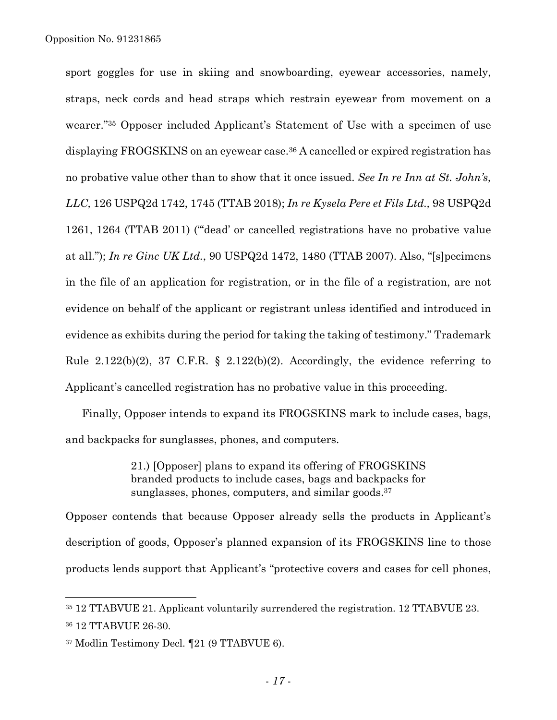sport goggles for use in skiing and snowboarding, eyewear accessories, namely, straps, neck cords and head straps which restrain eyewear from movement on a wearer."35 Opposer included Applicant's Statement of Use with a specimen of use displaying FROGSKINS on an eyewear case.<sup>36</sup> A cancelled or expired registration has no probative value other than to show that it once issued. *See In re Inn at St. John's, LLC,* 126 USPQ2d 1742, 1745 (TTAB 2018); *In re Kysela Pere et Fils Ltd.,* 98 USPQ2d 1261, 1264 (TTAB 2011) ("'dead' or cancelled registrations have no probative value at all."); *In re Ginc UK Ltd.*, 90 USPQ2d 1472, 1480 (TTAB 2007). Also, "[s]pecimens in the file of an application for registration, or in the file of a registration, are not evidence on behalf of the applicant or registrant unless identified and introduced in evidence as exhibits during the period for taking the taking of testimony." Trademark Rule  $2.122(b)(2)$ , 37 C.F.R. §  $2.122(b)(2)$ . Accordingly, the evidence referring to Applicant's cancelled registration has no probative value in this proceeding.

Finally, Opposer intends to expand its FROGSKINS mark to include cases, bags, and backpacks for sunglasses, phones, and computers.

> 21.) [Opposer] plans to expand its offering of FROGSKINS branded products to include cases, bags and backpacks for sunglasses, phones, computers, and similar goods.<sup>37</sup>

Opposer contends that because Opposer already sells the products in Applicant's description of goods, Opposer's planned expansion of its FROGSKINS line to those products lends support that Applicant's "protective covers and cases for cell phones,

<sup>35 12</sup> TTABVUE 21. Applicant voluntarily surrendered the registration. 12 TTABVUE 23. 36 12 TTABVUE 26-30.

<sup>37</sup> Modlin Testimony Decl. ¶21 (9 TTABVUE 6).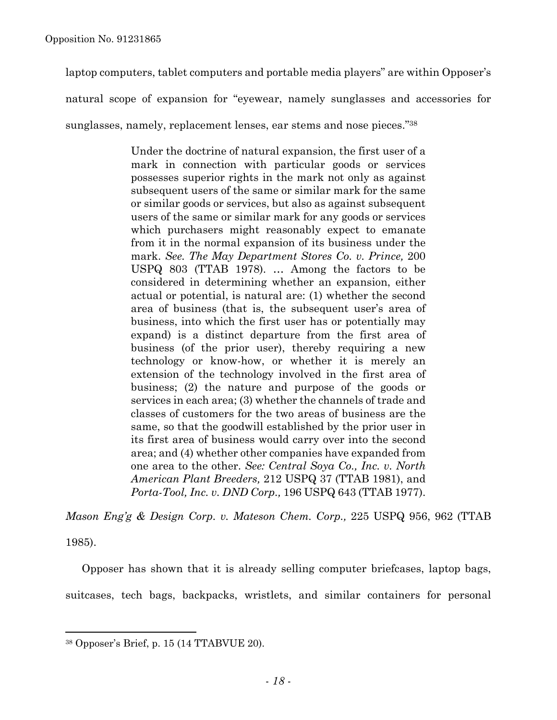laptop computers, tablet computers and portable media players" are within Opposer's

natural scope of expansion for "eyewear, namely sunglasses and accessories for

sunglasses, namely, replacement lenses, ear stems and nose pieces."38

Under the doctrine of natural expansion, the first user of a mark in connection with particular goods or services possesses superior rights in the mark not only as against subsequent users of the same or similar mark for the same or similar goods or services, but also as against subsequent users of the same or similar mark for any goods or services which purchasers might reasonably expect to emanate from it in the normal expansion of its business under the mark. *See. The May Department Stores Co. v. Prince,* 200 USPQ 803 (TTAB 1978). … Among the factors to be considered in determining whether an expansion, either actual or potential, is natural are: (1) whether the second area of business (that is, the subsequent user's area of business, into which the first user has or potentially may expand) is a distinct departure from the first area of business (of the prior user), thereby requiring a new technology or know-how, or whether it is merely an extension of the technology involved in the first area of business; (2) the nature and purpose of the goods or services in each area; (3) whether the channels of trade and classes of customers for the two areas of business are the same, so that the goodwill established by the prior user in its first area of business would carry over into the second area; and (4) whether other companies have expanded from one area to the other. *See: Central Soya Co., Inc. v. North American Plant Breeders,* 212 USPQ 37 (TTAB 1981), and *Porta-Tool, Inc. v. DND Corp.,* 196 USPQ 643 (TTAB 1977).

*Mason Eng'g & Design Corp. v. Mateson Chem. Corp.,* 225 USPQ 956, 962 (TTAB 1985).

Opposer has shown that it is already selling computer briefcases, laptop bags, suitcases, tech bags, backpacks, wristlets, and similar containers for personal

<sup>38</sup> Opposer's Brief, p. 15 (14 TTABVUE 20).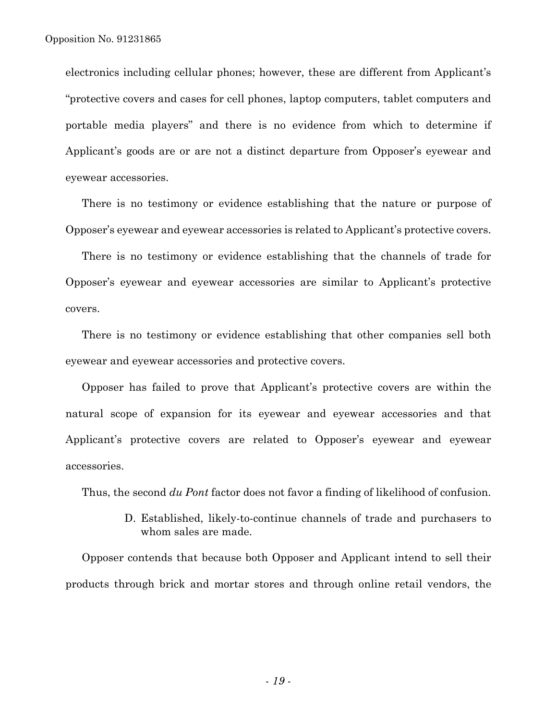electronics including cellular phones; however, these are different from Applicant's "protective covers and cases for cell phones, laptop computers, tablet computers and portable media players" and there is no evidence from which to determine if Applicant's goods are or are not a distinct departure from Opposer's eyewear and eyewear accessories.

There is no testimony or evidence establishing that the nature or purpose of Opposer's eyewear and eyewear accessories is related to Applicant's protective covers.

There is no testimony or evidence establishing that the channels of trade for Opposer's eyewear and eyewear accessories are similar to Applicant's protective covers.

There is no testimony or evidence establishing that other companies sell both eyewear and eyewear accessories and protective covers.

Opposer has failed to prove that Applicant's protective covers are within the natural scope of expansion for its eyewear and eyewear accessories and that Applicant's protective covers are related to Opposer's eyewear and eyewear accessories.

Thus, the second *du Pont* factor does not favor a finding of likelihood of confusion.

D. Established, likely-to-continue channels of trade and purchasers to whom sales are made.

Opposer contends that because both Opposer and Applicant intend to sell their products through brick and mortar stores and through online retail vendors, the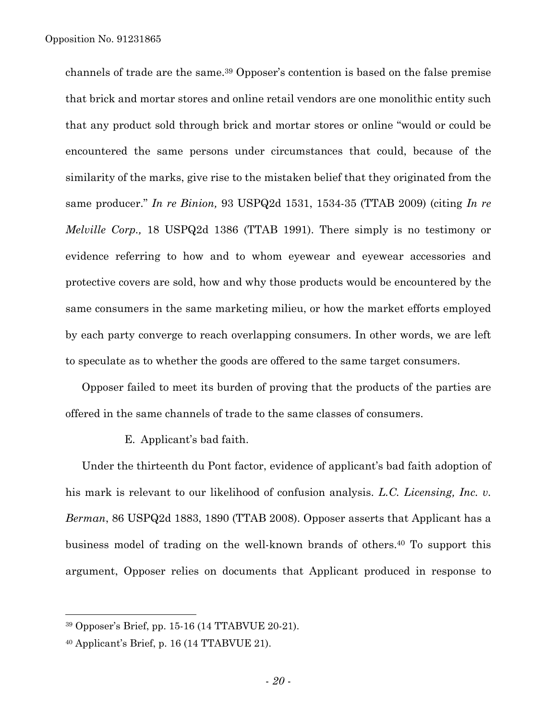channels of trade are the same.39 Opposer's contention is based on the false premise that brick and mortar stores and online retail vendors are one monolithic entity such that any product sold through brick and mortar stores or online "would or could be encountered the same persons under circumstances that could, because of the similarity of the marks, give rise to the mistaken belief that they originated from the same producer." *In re Binion,* 93 USPQ2d 1531, 1534-35 (TTAB 2009) (citing *In re Melville Corp.,* 18 USPQ2d 1386 (TTAB 1991). There simply is no testimony or evidence referring to how and to whom eyewear and eyewear accessories and protective covers are sold, how and why those products would be encountered by the same consumers in the same marketing milieu, or how the market efforts employed by each party converge to reach overlapping consumers. In other words, we are left to speculate as to whether the goods are offered to the same target consumers.

Opposer failed to meet its burden of proving that the products of the parties are offered in the same channels of trade to the same classes of consumers.

## E. Applicant's bad faith.

Under the thirteenth du Pont factor, evidence of applicant's bad faith adoption of his mark is relevant to our likelihood of confusion analysis. *L.C. Licensing, Inc. v. Berman*, 86 USPQ2d 1883, 1890 (TTAB 2008). Opposer asserts that Applicant has a business model of trading on the well-known brands of others.40 To support this argument, Opposer relies on documents that Applicant produced in response to

<sup>39</sup> Opposer's Brief, pp. 15-16 (14 TTABVUE 20-21).

 $40$  Applicant's Brief, p. 16 (14 TTABVUE 21).